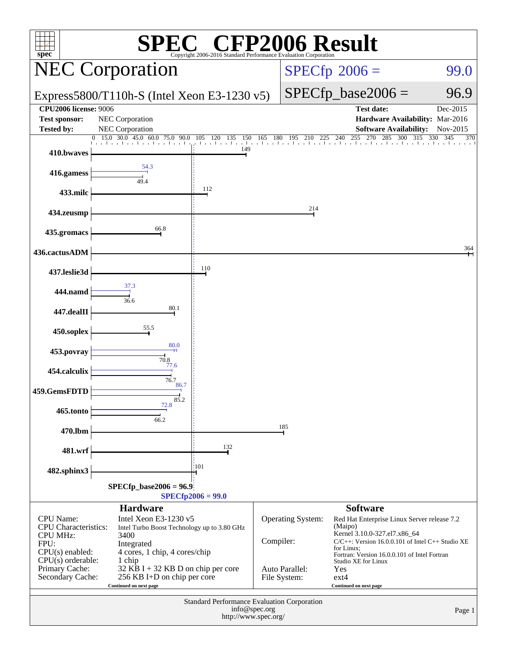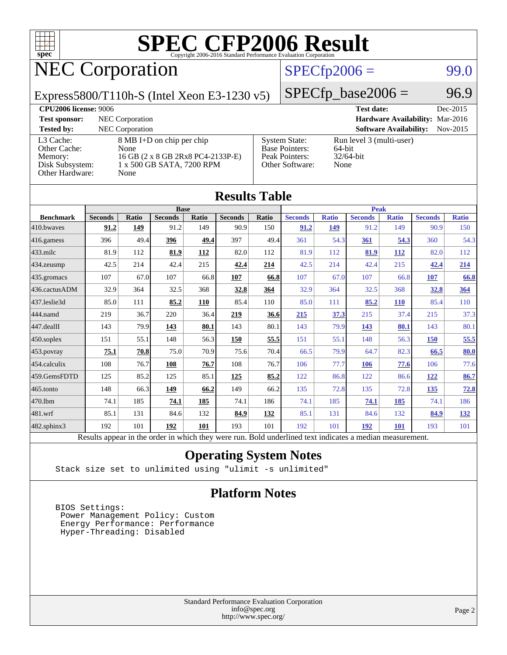

## NEC Corporation

### $SPECfp2006 = 99.0$  $SPECfp2006 = 99.0$

Express5800/T110h-S (Intel Xeon E3-1230 v5)

 $SPECTp\_base2006 = 96.9$ 

| <b>CPU2006 license: 9006</b>                                               |                                                                                                                       |                                                                                    | <b>Test date:</b>                                          | Dec-2015 |
|----------------------------------------------------------------------------|-----------------------------------------------------------------------------------------------------------------------|------------------------------------------------------------------------------------|------------------------------------------------------------|----------|
| <b>Test sponsor:</b>                                                       | NEC Corporation                                                                                                       |                                                                                    | Hardware Availability: Mar-2016                            |          |
| <b>Tested by:</b>                                                          | <b>NEC</b> Corporation                                                                                                |                                                                                    | <b>Software Availability:</b>                              | Nov-2015 |
| L3 Cache:<br>Other Cache:<br>Memory:<br>Disk Subsystem:<br>Other Hardware: | $8 \text{ MB I+D}$ on chip per chip<br>None<br>16 GB (2 x 8 GB 2Rx8 PC4-2133P-E)<br>1 x 500 GB SATA, 7200 RPM<br>None | <b>System State:</b><br><b>Base Pointers:</b><br>Peak Pointers:<br>Other Software: | Run level 3 (multi-user)<br>64-bit<br>$32/64$ -bit<br>None |          |

|                  |                |              |                |       | <b>Results Table</b> |       |                                                                                                          |              |                |              |                |              |
|------------------|----------------|--------------|----------------|-------|----------------------|-------|----------------------------------------------------------------------------------------------------------|--------------|----------------|--------------|----------------|--------------|
|                  |                |              | <b>Base</b>    |       |                      |       |                                                                                                          |              | <b>Peak</b>    |              |                |              |
| <b>Benchmark</b> | <b>Seconds</b> | <b>Ratio</b> | <b>Seconds</b> | Ratio | <b>Seconds</b>       | Ratio | <b>Seconds</b>                                                                                           | <b>Ratio</b> | <b>Seconds</b> | <b>Ratio</b> | <b>Seconds</b> | <b>Ratio</b> |
| 410.bwayes       | 91.2           | 149          | 91.2           | 149   | 90.9                 | 150   | 91.2                                                                                                     | 149          | 91.2           | 149          | 90.9           | 150          |
| 416.gamess       | 396            | 49.4         | 396            | 49.4  | 397                  | 49.4  | 361                                                                                                      | 54.3         | 361            | 54.3         | 360            | 54.3         |
| $433$ .milc      | 81.9           | 112          | 81.9           | 112   | 82.0                 | 112   | 81.9                                                                                                     | 112          | 81.9           | 112          | 82.0           | 112          |
| 434.zeusmp       | 42.5           | 214          | 42.4           | 215   | 42.4                 | 214   | 42.5                                                                                                     | 214          | 42.4           | 215          | 42.4           | 214          |
| 435.gromacs      | 107            | 67.0         | 107            | 66.8  | 107                  | 66.8  | 107                                                                                                      | 67.0         | 107            | 66.8         | 107            | 66.8         |
| 436.cactusADM    | 32.9           | 364          | 32.5           | 368   | 32.8                 | 364   | 32.9                                                                                                     | 364          | 32.5           | 368          | 32.8           | 364          |
| 437.leslie3d     | 85.0           | 111          | 85.2           | 110   | 85.4                 | 110   | 85.0                                                                                                     | 111          | 85.2           | <b>110</b>   | 85.4           | 110          |
| 444.namd         | 219            | 36.7         | 220            | 36.4  | 219                  | 36.6  | 215                                                                                                      | 37.3         | 215            | 37.4         | 215            | 37.3         |
| 447.dealII       | 143            | 79.9         | 143            | 80.1  | 143                  | 80.1  | 143                                                                                                      | 79.9         | 143            | 80.1         | 143            | 80.1         |
| 450.soplex       | 151            | 55.1         | 148            | 56.3  | 150                  | 55.5  | 151                                                                                                      | 55.1         | 148            | 56.3         | 150            | 55.5         |
| 453.povray       | 75.1           | 70.8         | 75.0           | 70.9  | 75.6                 | 70.4  | 66.5                                                                                                     | 79.9         | 64.7           | 82.3         | 66.5           | 80.0         |
| 454.calculix     | 108            | 76.7         | 108            | 76.7  | 108                  | 76.7  | 106                                                                                                      | 77.7         | 106            | 77.6         | 106            | 77.6         |
| 459.GemsFDTD     | 125            | 85.2         | 125            | 85.1  | 125                  | 85.2  | 122                                                                                                      | 86.8         | 122            | 86.6         | 122            | 86.7         |
| 465.tonto        | 148            | 66.3         | 149            | 66.2  | 149                  | 66.2  | 135                                                                                                      | 72.8         | 135            | 72.8         | 135            | 72.8         |
| 470.1bm          | 74.1           | 185          | 74.1           | 185   | 74.1                 | 186   | 74.1                                                                                                     | 185          | 74.1           | <u>185</u>   | 74.1           | 186          |
| 481.wrf          | 85.1           | 131          | 84.6           | 132   | 84.9                 | 132   | 85.1                                                                                                     | 131          | 84.6           | 132          | 84.9           | <u>132</u>   |
| 482.sphinx3      | 192            | 101          | 192            | 101   | 193                  | 101   | 192                                                                                                      | 101          | 192            | 101          | 193            | 101          |
|                  |                |              |                |       |                      |       | Results appear in the order in which they were run. Bold underlined text indicates a median measurement. |              |                |              |                |              |

### **[Operating System Notes](http://www.spec.org/auto/cpu2006/Docs/result-fields.html#OperatingSystemNotes)**

Stack size set to unlimited using "ulimit -s unlimited"

### **[Platform Notes](http://www.spec.org/auto/cpu2006/Docs/result-fields.html#PlatformNotes)**

 BIOS Settings: Power Management Policy: Custom Energy Performance: Performance Hyper-Threading: Disabled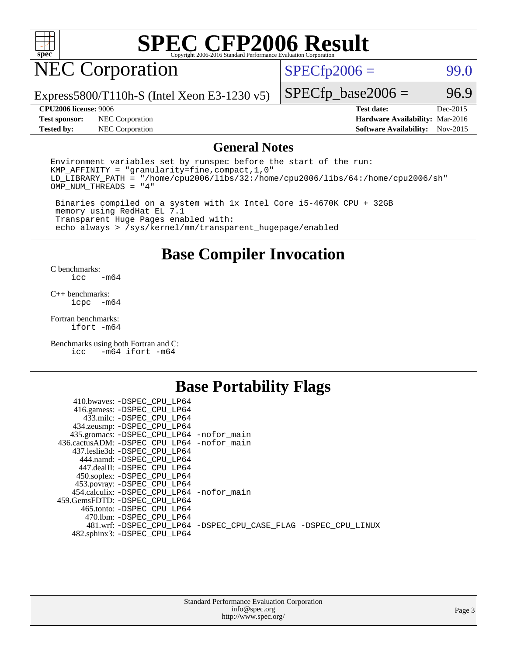

## NEC Corporation

 $SPECTp2006 =$  99.0

Express5800/T110h-S (Intel Xeon E3-1230 v5)

**[Test sponsor:](http://www.spec.org/auto/cpu2006/Docs/result-fields.html#Testsponsor)** NEC Corporation **[Hardware Availability:](http://www.spec.org/auto/cpu2006/Docs/result-fields.html#HardwareAvailability)** Mar-2016

 $SPECTp\_base2006 = 96.9$ 

**[CPU2006 license:](http://www.spec.org/auto/cpu2006/Docs/result-fields.html#CPU2006license)** 9006 **[Test date:](http://www.spec.org/auto/cpu2006/Docs/result-fields.html#Testdate)** Dec-2015 **[Tested by:](http://www.spec.org/auto/cpu2006/Docs/result-fields.html#Testedby)** NEC Corporation **[Software Availability:](http://www.spec.org/auto/cpu2006/Docs/result-fields.html#SoftwareAvailability)** Nov-2015

### **[General Notes](http://www.spec.org/auto/cpu2006/Docs/result-fields.html#GeneralNotes)**

Environment variables set by runspec before the start of the run: KMP\_AFFINITY = "granularity=fine,compact,1,0" LD\_LIBRARY\_PATH = "/home/cpu2006/libs/32:/home/cpu2006/libs/64:/home/cpu2006/sh" OMP\_NUM\_THREADS = "4"

 Binaries compiled on a system with 1x Intel Core i5-4670K CPU + 32GB memory using RedHat EL 7.1 Transparent Huge Pages enabled with: echo always > /sys/kernel/mm/transparent\_hugepage/enabled

### **[Base Compiler Invocation](http://www.spec.org/auto/cpu2006/Docs/result-fields.html#BaseCompilerInvocation)**

[C benchmarks](http://www.spec.org/auto/cpu2006/Docs/result-fields.html#Cbenchmarks):  $-m64$ 

[C++ benchmarks:](http://www.spec.org/auto/cpu2006/Docs/result-fields.html#CXXbenchmarks) [icpc -m64](http://www.spec.org/cpu2006/results/res2016q1/cpu2006-20160125-38920.flags.html#user_CXXbase_intel_icpc_64bit_bedb90c1146cab66620883ef4f41a67e)

[Fortran benchmarks](http://www.spec.org/auto/cpu2006/Docs/result-fields.html#Fortranbenchmarks): [ifort -m64](http://www.spec.org/cpu2006/results/res2016q1/cpu2006-20160125-38920.flags.html#user_FCbase_intel_ifort_64bit_ee9d0fb25645d0210d97eb0527dcc06e)

[Benchmarks using both Fortran and C](http://www.spec.org/auto/cpu2006/Docs/result-fields.html#BenchmarksusingbothFortranandC): [icc -m64](http://www.spec.org/cpu2006/results/res2016q1/cpu2006-20160125-38920.flags.html#user_CC_FCbase_intel_icc_64bit_0b7121f5ab7cfabee23d88897260401c) [ifort -m64](http://www.spec.org/cpu2006/results/res2016q1/cpu2006-20160125-38920.flags.html#user_CC_FCbase_intel_ifort_64bit_ee9d0fb25645d0210d97eb0527dcc06e)

### **[Base Portability Flags](http://www.spec.org/auto/cpu2006/Docs/result-fields.html#BasePortabilityFlags)**

| 410.bwaves: -DSPEC CPU LP64                 |                                                                |
|---------------------------------------------|----------------------------------------------------------------|
| 416.gamess: -DSPEC_CPU_LP64                 |                                                                |
| 433.milc: -DSPEC CPU LP64                   |                                                                |
| 434.zeusmp: -DSPEC_CPU_LP64                 |                                                                |
| 435.gromacs: -DSPEC_CPU_LP64 -nofor_main    |                                                                |
| 436.cactusADM: -DSPEC CPU LP64 -nofor main  |                                                                |
| 437.leslie3d: -DSPEC CPU LP64               |                                                                |
| 444.namd: - DSPEC CPU LP64                  |                                                                |
| 447.dealII: -DSPEC CPU LP64                 |                                                                |
| 450.soplex: -DSPEC_CPU_LP64                 |                                                                |
| 453.povray: -DSPEC_CPU_LP64                 |                                                                |
| 454.calculix: - DSPEC CPU LP64 - nofor main |                                                                |
| 459.GemsFDTD: -DSPEC_CPU_LP64               |                                                                |
| 465.tonto: - DSPEC CPU LP64                 |                                                                |
| 470.1bm: - DSPEC CPU LP64                   |                                                                |
|                                             | 481.wrf: -DSPEC_CPU_LP64 -DSPEC_CPU_CASE_FLAG -DSPEC_CPU_LINUX |
| 482.sphinx3: -DSPEC_CPU_LP64                |                                                                |
|                                             |                                                                |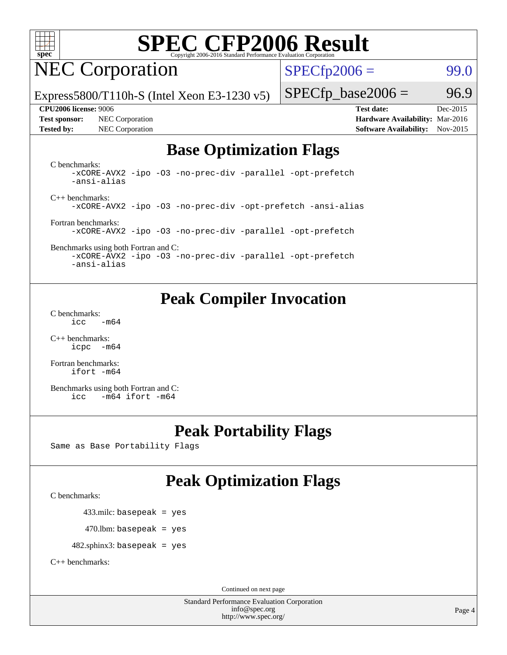

## NEC Corporation

 $SPECTp2006 =$  99.0

Express5800/T110h-S (Intel Xeon E3-1230 v5)

**[Test sponsor:](http://www.spec.org/auto/cpu2006/Docs/result-fields.html#Testsponsor)** NEC Corporation **[Hardware Availability:](http://www.spec.org/auto/cpu2006/Docs/result-fields.html#HardwareAvailability)** Mar-2016

 $SPECTp\_base2006 = 96.9$ **[CPU2006 license:](http://www.spec.org/auto/cpu2006/Docs/result-fields.html#CPU2006license)** 9006 **[Test date:](http://www.spec.org/auto/cpu2006/Docs/result-fields.html#Testdate)** Dec-2015

**[Tested by:](http://www.spec.org/auto/cpu2006/Docs/result-fields.html#Testedby)** NEC Corporation **[Software Availability:](http://www.spec.org/auto/cpu2006/Docs/result-fields.html#SoftwareAvailability)** Nov-2015

### **[Base Optimization Flags](http://www.spec.org/auto/cpu2006/Docs/result-fields.html#BaseOptimizationFlags)**

[C benchmarks](http://www.spec.org/auto/cpu2006/Docs/result-fields.html#Cbenchmarks): [-xCORE-AVX2](http://www.spec.org/cpu2006/results/res2016q1/cpu2006-20160125-38920.flags.html#user_CCbase_f-xAVX2_5f5fc0cbe2c9f62c816d3e45806c70d7) [-ipo](http://www.spec.org/cpu2006/results/res2016q1/cpu2006-20160125-38920.flags.html#user_CCbase_f-ipo) [-O3](http://www.spec.org/cpu2006/results/res2016q1/cpu2006-20160125-38920.flags.html#user_CCbase_f-O3) [-no-prec-div](http://www.spec.org/cpu2006/results/res2016q1/cpu2006-20160125-38920.flags.html#user_CCbase_f-no-prec-div) [-parallel](http://www.spec.org/cpu2006/results/res2016q1/cpu2006-20160125-38920.flags.html#user_CCbase_f-parallel) [-opt-prefetch](http://www.spec.org/cpu2006/results/res2016q1/cpu2006-20160125-38920.flags.html#user_CCbase_f-opt-prefetch) [-ansi-alias](http://www.spec.org/cpu2006/results/res2016q1/cpu2006-20160125-38920.flags.html#user_CCbase_f-ansi-alias)

[C++ benchmarks:](http://www.spec.org/auto/cpu2006/Docs/result-fields.html#CXXbenchmarks) [-xCORE-AVX2](http://www.spec.org/cpu2006/results/res2016q1/cpu2006-20160125-38920.flags.html#user_CXXbase_f-xAVX2_5f5fc0cbe2c9f62c816d3e45806c70d7) [-ipo](http://www.spec.org/cpu2006/results/res2016q1/cpu2006-20160125-38920.flags.html#user_CXXbase_f-ipo) [-O3](http://www.spec.org/cpu2006/results/res2016q1/cpu2006-20160125-38920.flags.html#user_CXXbase_f-O3) [-no-prec-div](http://www.spec.org/cpu2006/results/res2016q1/cpu2006-20160125-38920.flags.html#user_CXXbase_f-no-prec-div) [-opt-prefetch](http://www.spec.org/cpu2006/results/res2016q1/cpu2006-20160125-38920.flags.html#user_CXXbase_f-opt-prefetch) [-ansi-alias](http://www.spec.org/cpu2006/results/res2016q1/cpu2006-20160125-38920.flags.html#user_CXXbase_f-ansi-alias)

[Fortran benchmarks](http://www.spec.org/auto/cpu2006/Docs/result-fields.html#Fortranbenchmarks): [-xCORE-AVX2](http://www.spec.org/cpu2006/results/res2016q1/cpu2006-20160125-38920.flags.html#user_FCbase_f-xAVX2_5f5fc0cbe2c9f62c816d3e45806c70d7) [-ipo](http://www.spec.org/cpu2006/results/res2016q1/cpu2006-20160125-38920.flags.html#user_FCbase_f-ipo) [-O3](http://www.spec.org/cpu2006/results/res2016q1/cpu2006-20160125-38920.flags.html#user_FCbase_f-O3) [-no-prec-div](http://www.spec.org/cpu2006/results/res2016q1/cpu2006-20160125-38920.flags.html#user_FCbase_f-no-prec-div) [-parallel](http://www.spec.org/cpu2006/results/res2016q1/cpu2006-20160125-38920.flags.html#user_FCbase_f-parallel) [-opt-prefetch](http://www.spec.org/cpu2006/results/res2016q1/cpu2006-20160125-38920.flags.html#user_FCbase_f-opt-prefetch)

[Benchmarks using both Fortran and C](http://www.spec.org/auto/cpu2006/Docs/result-fields.html#BenchmarksusingbothFortranandC): [-xCORE-AVX2](http://www.spec.org/cpu2006/results/res2016q1/cpu2006-20160125-38920.flags.html#user_CC_FCbase_f-xAVX2_5f5fc0cbe2c9f62c816d3e45806c70d7) [-ipo](http://www.spec.org/cpu2006/results/res2016q1/cpu2006-20160125-38920.flags.html#user_CC_FCbase_f-ipo) [-O3](http://www.spec.org/cpu2006/results/res2016q1/cpu2006-20160125-38920.flags.html#user_CC_FCbase_f-O3) [-no-prec-div](http://www.spec.org/cpu2006/results/res2016q1/cpu2006-20160125-38920.flags.html#user_CC_FCbase_f-no-prec-div) [-parallel](http://www.spec.org/cpu2006/results/res2016q1/cpu2006-20160125-38920.flags.html#user_CC_FCbase_f-parallel) [-opt-prefetch](http://www.spec.org/cpu2006/results/res2016q1/cpu2006-20160125-38920.flags.html#user_CC_FCbase_f-opt-prefetch) [-ansi-alias](http://www.spec.org/cpu2006/results/res2016q1/cpu2006-20160125-38920.flags.html#user_CC_FCbase_f-ansi-alias)

### **[Peak Compiler Invocation](http://www.spec.org/auto/cpu2006/Docs/result-fields.html#PeakCompilerInvocation)**

[C benchmarks](http://www.spec.org/auto/cpu2006/Docs/result-fields.html#Cbenchmarks):  $\text{icc}$   $-\text{m64}$ 

[C++ benchmarks:](http://www.spec.org/auto/cpu2006/Docs/result-fields.html#CXXbenchmarks) [icpc -m64](http://www.spec.org/cpu2006/results/res2016q1/cpu2006-20160125-38920.flags.html#user_CXXpeak_intel_icpc_64bit_bedb90c1146cab66620883ef4f41a67e)

[Fortran benchmarks](http://www.spec.org/auto/cpu2006/Docs/result-fields.html#Fortranbenchmarks): [ifort -m64](http://www.spec.org/cpu2006/results/res2016q1/cpu2006-20160125-38920.flags.html#user_FCpeak_intel_ifort_64bit_ee9d0fb25645d0210d97eb0527dcc06e)

[Benchmarks using both Fortran and C](http://www.spec.org/auto/cpu2006/Docs/result-fields.html#BenchmarksusingbothFortranandC): [icc -m64](http://www.spec.org/cpu2006/results/res2016q1/cpu2006-20160125-38920.flags.html#user_CC_FCpeak_intel_icc_64bit_0b7121f5ab7cfabee23d88897260401c) [ifort -m64](http://www.spec.org/cpu2006/results/res2016q1/cpu2006-20160125-38920.flags.html#user_CC_FCpeak_intel_ifort_64bit_ee9d0fb25645d0210d97eb0527dcc06e)

### **[Peak Portability Flags](http://www.spec.org/auto/cpu2006/Docs/result-fields.html#PeakPortabilityFlags)**

Same as Base Portability Flags

### **[Peak Optimization Flags](http://www.spec.org/auto/cpu2006/Docs/result-fields.html#PeakOptimizationFlags)**

[C benchmarks](http://www.spec.org/auto/cpu2006/Docs/result-fields.html#Cbenchmarks):

433.milc: basepeak = yes

 $470.$ lbm: basepeak = yes

482.sphinx3: basepeak = yes

[C++ benchmarks:](http://www.spec.org/auto/cpu2006/Docs/result-fields.html#CXXbenchmarks)

Continued on next page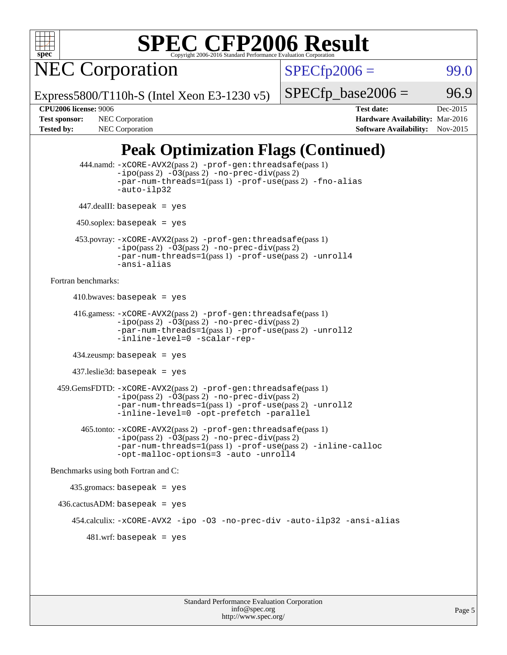

NEC Corporation

 $SPECTp2006 =$  99.0

Express5800/T110h-S (Intel Xeon E3-1230 v5)

 $SPECTp\_base2006 = 96.9$ 

**[CPU2006 license:](http://www.spec.org/auto/cpu2006/Docs/result-fields.html#CPU2006license)** 9006 **[Test date:](http://www.spec.org/auto/cpu2006/Docs/result-fields.html#Testdate)** Dec-2015 **[Test sponsor:](http://www.spec.org/auto/cpu2006/Docs/result-fields.html#Testsponsor)** NEC Corporation **NEC Corporation [Hardware Availability:](http://www.spec.org/auto/cpu2006/Docs/result-fields.html#HardwareAvailability)** Mar-2016 [Tested by:](http://www.spec.org/auto/cpu2006/Docs/result-fields.html#Testedby) NEC Corporation **[Software Availability:](http://www.spec.org/auto/cpu2006/Docs/result-fields.html#SoftwareAvailability)** Nov-2015

### **[Peak Optimization Flags \(Continued\)](http://www.spec.org/auto/cpu2006/Docs/result-fields.html#PeakOptimizationFlags)**

```
 444.namd: -xCORE-AVX2(pass 2) -prof-gen:threadsafe(pass 1)
               -no-prec-div(pass 2)-par-num-threads=1(pass 1) -prof-use(pass 2) -fno-alias
               -auto-ilp32
      447.dealII: basepeak = yes
       450.soplex: basepeak = yes
      453.povray: -xCORE-AVX2(pass 2) -prof-gen:threadsafe(pass 1)
               -no-prec-div(pass 2)-par-num-threads=1(pass 1) -prof-use(pass 2) -unroll4
               -ansi-alias
Fortran benchmarks: 
     410.bwaves: basepeak = yes 416.gamess: -xCORE-AVX2(pass 2) -prof-gen:threadsafe(pass 1)
               -ipo(pass 2) -03(pass 2) -no-prec-div(pass 2)-par-num-threads=1(pass 1) -prof-use(pass 2) -unroll2
               -inline-level=0 -scalar-rep-
      434.zeusmp: basepeak = yes
      437.leslie3d: basepeak = yes
  459.GemsFDTD: -xCORE-AVX2(pass 2) -prof-gen:threadsafe(pass 1)
               -i\text{po}(pass 2) -\tilde{O}3(pass 2)-no-prec-div(pass 2)
               -par-num-threads=1(pass 1) -prof-use(pass 2) -unroll2
               -inline-level=0 -opt-prefetch -parallel
        465.tonto: -xCORE-AVX2(pass 2) -prof-gen:threadsafe(pass 1)
               -i\text{po}(pass 2) -03(pass 2)-no-prec-div(pass 2)
               -par-num-threads=1(pass 1) -prof-use(pass 2) -inline-calloc
               -opt-malloc-options=3 -auto -unroll4
Benchmarks using both Fortran and C: 
     435.gromacs: basepeak = yes
  436.cactusADM: basepeak = yes
      454.calculix: -xCORE-AVX2 -ipo -O3 -no-prec-div -auto-ilp32 -ansi-alias
        481 \text{.m}: basepeak = yes
```